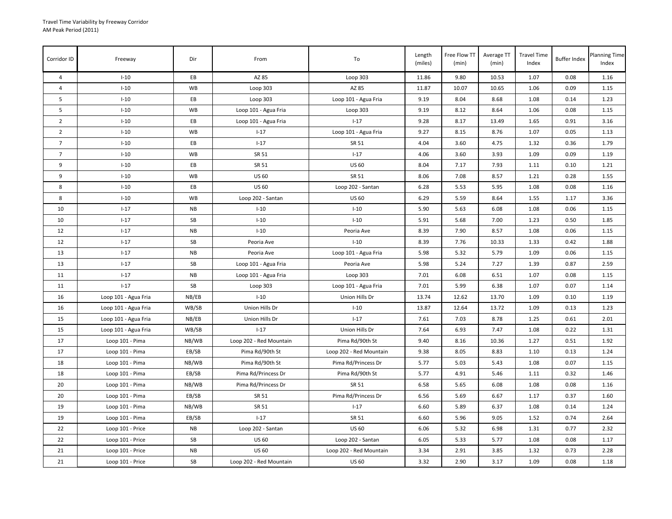| Corridor ID     | Freeway              | Dir       | From                    | To                      | Length<br>(miles) | Free Flow TT<br>(min) | Average TT<br>(min) | <b>Travel Time</b><br>Index | <b>Buffer Index</b> | <b>Planning Time</b><br>Index |
|-----------------|----------------------|-----------|-------------------------|-------------------------|-------------------|-----------------------|---------------------|-----------------------------|---------------------|-------------------------------|
| $\overline{4}$  | $I-10$               | EB        | AZ 85                   | Loop 303                | 11.86             | 9.80                  | 10.53               | 1.07                        | 0.08                | 1.16                          |
| $\overline{4}$  | $I-10$               | WB        | Loop 303                | AZ 85                   | 11.87             | 10.07                 | 10.65               | 1.06                        | 0.09                | 1.15                          |
| 5               | $I-10$               | EB        | Loop 303                | Loop 101 - Agua Fria    | 9.19              | 8.04                  | 8.68                | 1.08                        | 0.14                | 1.23                          |
| 5               | $I-10$               | <b>WB</b> | Loop 101 - Agua Fria    | Loop 303                | 9.19              | 8.12                  | 8.64                | 1.06                        | 0.08                | 1.15                          |
| $\overline{2}$  | $I-10$               | EВ        | Loop 101 - Agua Fria    | $1 - 17$                | 9.28              | 8.17                  | 13.49               | 1.65                        | 0.91                | 3.16                          |
| $\overline{2}$  | $I-10$               | WB        | $1 - 17$                | Loop 101 - Agua Fria    | 9.27              | 8.15                  | 8.76                | 1.07                        | 0.05                | 1.13                          |
| $7\overline{ }$ | $I-10$               | EB        | $I - 17$                | SR 51                   | 4.04              | 3.60                  | 4.75                | 1.32                        | 0.36                | 1.79                          |
| $\overline{7}$  | $I-10$               | <b>WB</b> | SR 51                   | $1 - 17$                | 4.06              | 3.60                  | 3.93                | 1.09                        | 0.09                | 1.19                          |
| 9               | $I-10$               | EВ        | SR 51                   | <b>US 60</b>            | 8.04              | 7.17                  | 7.93                | 1.11                        | 0.10                | 1.21                          |
| 9               | $I-10$               | WB        | <b>US 60</b>            | SR 51                   | 8.06              | 7.08                  | 8.57                | 1.21                        | 0.28                | 1.55                          |
| 8               | $I-10$               | EB        | US 60                   | Loop 202 - Santan       | 6.28              | 5.53                  | 5.95                | 1.08                        | 0.08                | 1.16                          |
| 8               | $I-10$               | <b>WB</b> | Loop 202 - Santan       | <b>US 60</b>            | 6.29              | 5.59                  | 8.64                | 1.55                        | 1.17                | 3.36                          |
| 10              | $I-17$               | <b>NB</b> | $I-10$                  | $I-10$                  | 5.90              | 5.63                  | 6.08                | 1.08                        | 0.06                | 1.15                          |
| 10              | $1 - 17$             | SB        | $I-10$                  | $I-10$                  | 5.91              | 5.68                  | 7.00                | 1.23                        | 0.50                | 1.85                          |
| 12              | $1 - 17$             | <b>NB</b> | $I-10$                  | Peoria Ave              | 8.39              | 7.90                  | 8.57                | 1.08                        | 0.06                | 1.15                          |
| 12              | $I - 17$             | SB        | Peoria Ave              | $I-10$                  | 8.39              | 7.76                  | 10.33               | 1.33                        | 0.42                | 1.88                          |
| 13              | $I-17$               | <b>NB</b> | Peoria Ave              | Loop 101 - Agua Fria    | 5.98              | 5.32                  | 5.79                | 1.09                        | 0.06                | 1.15                          |
| 13              | $1 - 17$             | SB        | Loop 101 - Agua Fria    | Peoria Ave              | 5.98              | 5.24                  | 7.27                | 1.39                        | 0.87                | 2.59                          |
| 11              | $I-17$               | <b>NB</b> | Loop 101 - Agua Fria    | Loop 303                | 7.01              | 6.08                  | 6.51                | 1.07                        | 0.08                | 1.15                          |
| 11              | $1 - 17$             | SB        | Loop 303                | Loop 101 - Agua Fria    | 7.01              | 5.99                  | 6.38                | 1.07                        | 0.07                | 1.14                          |
| 16              | Loop 101 - Agua Fria | NB/EB     | $I-10$                  | Union Hills Dr          | 13.74             | 12.62                 | 13.70               | 1.09                        | 0.10                | 1.19                          |
| 16              | Loop 101 - Agua Fria | WB/SB     | Union Hills Dr          | $I-10$                  | 13.87             | 12.64                 | 13.72               | 1.09                        | 0.13                | 1.23                          |
| 15              | Loop 101 - Agua Fria | NB/EB     | Union Hills Dr          | $I-17$                  | 7.61              | 7.03                  | 8.78                | 1.25                        | 0.61                | 2.01                          |
| 15              | Loop 101 - Agua Fria | WB/SB     | $I-17$                  | Union Hills Dr          | 7.64              | 6.93                  | 7.47                | 1.08                        | 0.22                | 1.31                          |
| 17              | Loop 101 - Pima      | NB/WB     | Loop 202 - Red Mountain | Pima Rd/90th St         | 9.40              | 8.16                  | 10.36               | 1.27                        | 0.51                | 1.92                          |
| 17              | Loop 101 - Pima      | EB/SB     | Pima Rd/90th St         | Loop 202 - Red Mountain | 9.38              | 8.05                  | 8.83                | 1.10                        | 0.13                | 1.24                          |
| 18              | Loop 101 - Pima      | NB/WB     | Pima Rd/90th St         | Pima Rd/Princess Dr     | 5.77              | 5.03                  | 5.43                | 1.08                        | 0.07                | 1.15                          |
| 18              | Loop 101 - Pima      | EB/SB     | Pima Rd/Princess Dr     | Pima Rd/90th St         | 5.77              | 4.91                  | 5.46                | 1.11                        | 0.32                | 1.46                          |
| 20              | Loop 101 - Pima      | NB/WB     | Pima Rd/Princess Dr     | SR 51                   | 6.58              | 5.65                  | 6.08                | 1.08                        | 0.08                | 1.16                          |
| 20              | Loop 101 - Pima      | EB/SB     | SR 51                   | Pima Rd/Princess Dr     | 6.56              | 5.69                  | 6.67                | 1.17                        | 0.37                | 1.60                          |
| 19              | Loop 101 - Pima      | NB/WB     | SR 51                   | $I-17$                  | 6.60              | 5.89                  | 6.37                | 1.08                        | 0.14                | 1.24                          |
| 19              | Loop 101 - Pima      | EB/SB     | $1 - 17$                | SR 51                   | 6.60              | 5.96                  | 9.05                | 1.52                        | 0.74                | 2.64                          |
| 22              | Loop 101 - Price     | <b>NB</b> | Loop 202 - Santan       | <b>US 60</b>            | 6.06              | 5.32                  | 6.98                | 1.31                        | 0.77                | 2.32                          |
| 22              | Loop 101 - Price     | SB        | US 60                   | Loop 202 - Santan       | 6.05              | 5.33                  | 5.77                | 1.08                        | 0.08                | 1.17                          |
| 21              | Loop 101 - Price     | <b>NB</b> | <b>US 60</b>            | Loop 202 - Red Mountain | 3.34              | 2.91                  | 3.85                | 1.32                        | 0.73                | 2.28                          |
| 21              | Loop 101 - Price     | SB        | Loop 202 - Red Mountain | <b>US 60</b>            | 3.32              | 2.90                  | 3.17                | 1.09                        | 0.08                | 1.18                          |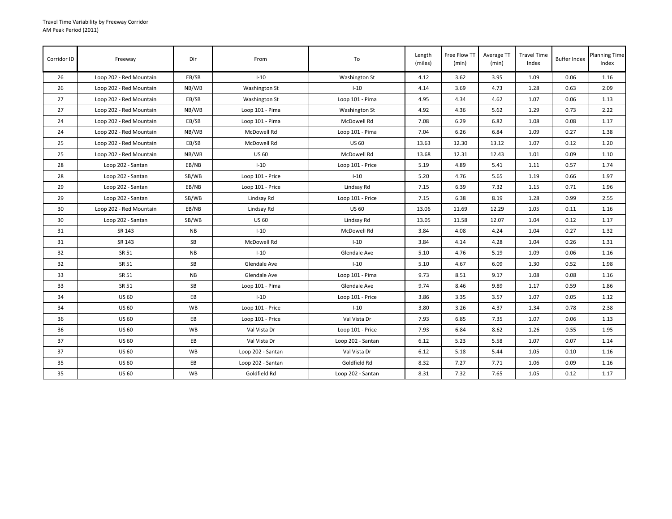| Corridor ID | Freeway                 | Dir       | From              | To                | Length<br>(miles) | Free Flow TT<br>(min) | Average TT<br>(min) | <b>Travel Time</b><br>Index | <b>Buffer Index</b> | <b>Planning Time</b><br>Index |
|-------------|-------------------------|-----------|-------------------|-------------------|-------------------|-----------------------|---------------------|-----------------------------|---------------------|-------------------------------|
| 26          | Loop 202 - Red Mountain | EB/SB     | $I-10$            | Washington St     | 4.12              | 3.62                  | 3.95                | 1.09                        | 0.06                | 1.16                          |
| 26          | Loop 202 - Red Mountain | NB/WB     | Washington St     | $I-10$            | 4.14              | 3.69                  | 4.73                | 1.28                        | 0.63                | 2.09                          |
| 27          | Loop 202 - Red Mountain | EB/SB     | Washington St     | Loop 101 - Pima   | 4.95              | 4.34                  | 4.62                | 1.07                        | 0.06                | 1.13                          |
| 27          | Loop 202 - Red Mountain | NB/WB     | Loop 101 - Pima   | Washington St     | 4.92              | 4.36                  | 5.62                | 1.29                        | 0.73                | 2.22                          |
| 24          | Loop 202 - Red Mountain | EB/SB     | Loop 101 - Pima   | McDowell Rd       | 7.08              | 6.29                  | 6.82                | 1.08                        | 0.08                | 1.17                          |
| 24          | Loop 202 - Red Mountain | NB/WB     | McDowell Rd       | Loop 101 - Pima   | 7.04              | 6.26                  | 6.84                | 1.09                        | 0.27                | 1.38                          |
| 25          | Loop 202 - Red Mountain | EB/SB     | McDowell Rd       | <b>US 60</b>      | 13.63             | 12.30                 | 13.12               | 1.07                        | 0.12                | 1.20                          |
| 25          | Loop 202 - Red Mountain | NB/WB     | <b>US 60</b>      | McDowell Rd       | 13.68             | 12.31                 | 12.43               | 1.01                        | 0.09                | 1.10                          |
| 28          | Loop 202 - Santan       | EB/NB     | $I-10$            | Loop 101 - Price  | 5.19              | 4.89                  | 5.41                | 1.11                        | 0.57                | 1.74                          |
| 28          | Loop 202 - Santan       | SB/WB     | Loop 101 - Price  | $1 - 10$          | 5.20              | 4.76                  | 5.65                | 1.19                        | 0.66                | 1.97                          |
| 29          | Loop 202 - Santan       | EB/NB     | Loop 101 - Price  | Lindsay Rd        | 7.15              | 6.39                  | 7.32                | 1.15                        | 0.71                | 1.96                          |
| 29          | Loop 202 - Santan       | SB/WB     | Lindsay Rd        | Loop 101 - Price  | 7.15              | 6.38                  | 8.19                | 1.28                        | 0.99                | 2.55                          |
| 30          | Loop 202 - Red Mountain | EB/NB     | Lindsay Rd        | <b>US 60</b>      | 13.06             | 11.69                 | 12.29               | 1.05                        | 0.11                | 1.16                          |
| 30          | Loop 202 - Santan       | SB/WB     | <b>US 60</b>      | Lindsay Rd        | 13.05             | 11.58                 | 12.07               | 1.04                        | 0.12                | 1.17                          |
| 31          | SR 143                  | NB        | $I-10$            | McDowell Rd       | 3.84              | 4.08                  | 4.24                | 1.04                        | 0.27                | 1.32                          |
| 31          | SR 143                  | SB        | McDowell Rd       | $I-10$            | 3.84              | 4.14                  | 4.28                | 1.04                        | 0.26                | 1.31                          |
| 32          | SR 51                   | <b>NB</b> | $I-10$            | Glendale Ave      | 5.10              | 4.76                  | 5.19                | 1.09                        | 0.06                | 1.16                          |
| 32          | SR 51                   | SB        | Glendale Ave      | $I-10$            | 5.10              | 4.67                  | 6.09                | 1.30                        | 0.52                | 1.98                          |
| 33          | SR 51                   | NB        | Glendale Ave      | Loop 101 - Pima   | 9.73              | 8.51                  | 9.17                | 1.08                        | 0.08                | 1.16                          |
| 33          | SR 51                   | SB        | Loop 101 - Pima   | Glendale Ave      | 9.74              | 8.46                  | 9.89                | 1.17                        | 0.59                | 1.86                          |
| 34          | <b>US 60</b>            | EB        | $I-10$            | Loop 101 - Price  | 3.86              | 3.35                  | 3.57                | 1.07                        | 0.05                | 1.12                          |
| 34          | <b>US 60</b>            | <b>WB</b> | Loop 101 - Price  | $I-10$            | 3.80              | 3.26                  | 4.37                | 1.34                        | 0.78                | 2.38                          |
| 36          | <b>US 60</b>            | EB        | Loop 101 - Price  | Val Vista Dr      | 7.93              | 6.85                  | 7.35                | 1.07                        | 0.06                | 1.13                          |
| 36          | <b>US 60</b>            | WB        | Val Vista Dr      | Loop 101 - Price  | 7.93              | 6.84                  | 8.62                | 1.26                        | 0.55                | 1.95                          |
| 37          | <b>US 60</b>            | EB        | Val Vista Dr      | Loop 202 - Santan | 6.12              | 5.23                  | 5.58                | 1.07                        | 0.07                | 1.14                          |
| 37          | <b>US 60</b>            | <b>WB</b> | Loop 202 - Santan | Val Vista Dr      | 6.12              | 5.18                  | 5.44                | 1.05                        | 0.10                | 1.16                          |
| 35          | <b>US 60</b>            | EB        | Loop 202 - Santan | Goldfield Rd      | 8.32              | 7.27                  | 7.71                | 1.06                        | 0.09                | 1.16                          |
| 35          | <b>US 60</b>            | WB        | Goldfield Rd      | Loop 202 - Santan | 8.31              | 7.32                  | 7.65                | 1.05                        | 0.12                | 1.17                          |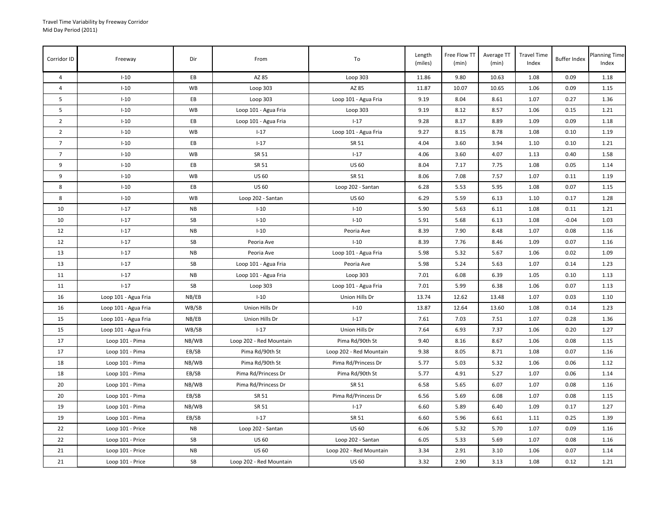| Corridor ID     | Freeway              | Dir       | From                    | To                      | Length<br>(miles) | Free Flow TT<br>(min) | Average TT<br>(min) | <b>Travel Time</b><br>Index | <b>Buffer Index</b> | <b>Planning Time</b><br>Index |
|-----------------|----------------------|-----------|-------------------------|-------------------------|-------------------|-----------------------|---------------------|-----------------------------|---------------------|-------------------------------|
| $\overline{4}$  | $I-10$               | EB        | AZ 85                   | Loop 303                | 11.86             | 9.80                  | 10.63               | 1.08                        | 0.09                | 1.18                          |
| $\overline{4}$  | $I-10$               | WB        | Loop 303                | AZ 85                   | 11.87             | 10.07                 | 10.65               | 1.06                        | 0.09                | 1.15                          |
| 5               | $I-10$               | EB        | Loop 303                | Loop 101 - Agua Fria    | 9.19              | 8.04                  | 8.61                | 1.07                        | 0.27                | 1.36                          |
| 5               | $I-10$               | <b>WB</b> | Loop 101 - Agua Fria    | Loop 303                | 9.19              | 8.12                  | 8.57                | 1.06                        | 0.15                | 1.21                          |
| $\overline{2}$  | $I-10$               | EB        | Loop 101 - Agua Fria    | $1 - 17$                | 9.28              | 8.17                  | 8.89                | 1.09                        | 0.09                | 1.18                          |
| $\overline{2}$  | $I-10$               | WB        | $I - 17$                | Loop 101 - Agua Fria    | 9.27              | 8.15                  | 8.78                | 1.08                        | 0.10                | 1.19                          |
| $7\overline{ }$ | $I-10$               | EB        | $I - 17$                | SR 51                   | 4.04              | 3.60                  | 3.94                | 1.10                        | 0.10                | 1.21                          |
| $\overline{7}$  | $I-10$               | <b>WB</b> | SR 51                   | $1 - 17$                | 4.06              | 3.60                  | 4.07                | 1.13                        | 0.40                | 1.58                          |
| 9               | $I-10$               | EB        | SR 51                   | <b>US 60</b>            | 8.04              | 7.17                  | 7.75                | 1.08                        | 0.05                | 1.14                          |
| 9               | $I-10$               | WB        | <b>US 60</b>            | SR 51                   | 8.06              | 7.08                  | 7.57                | 1.07                        | 0.11                | 1.19                          |
| 8               | $I-10$               | EB        | <b>US 60</b>            | Loop 202 - Santan       | 6.28              | 5.53                  | 5.95                | 1.08                        | 0.07                | 1.15                          |
| 8               | $I-10$               | <b>WB</b> | Loop 202 - Santan       | <b>US 60</b>            | 6.29              | 5.59                  | 6.13                | 1.10                        | 0.17                | 1.28                          |
| 10              | $I-17$               | <b>NB</b> | $I-10$                  | $I-10$                  | 5.90              | 5.63                  | 6.11                | 1.08                        | 0.11                | 1.21                          |
| 10              | $I-17$               | SB        | $I-10$                  | $I-10$                  | 5.91              | 5.68                  | 6.13                | 1.08                        | $-0.04$             | 1.03                          |
| 12              | $I-17$               | <b>NB</b> | $I-10$                  | Peoria Ave              | 8.39              | 7.90                  | 8.48                | 1.07                        | 0.08                | 1.16                          |
| 12              | $I-17$               | SB        | Peoria Ave              | $I-10$                  | 8.39              | 7.76                  | 8.46                | 1.09                        | 0.07                | 1.16                          |
| 13              | $I - 17$             | <b>NB</b> | Peoria Ave              | Loop 101 - Agua Fria    | 5.98              | 5.32                  | 5.67                | 1.06                        | 0.02                | 1.09                          |
| 13              | $1 - 17$             | SB        | Loop 101 - Agua Fria    | Peoria Ave              | 5.98              | 5.24                  | 5.63                | 1.07                        | 0.14                | 1.23                          |
| 11              | $I-17$               | <b>NB</b> | Loop 101 - Agua Fria    | Loop 303                | 7.01              | 6.08                  | 6.39                | 1.05                        | 0.10                | 1.13                          |
| 11              | $I-17$               | SB        | Loop 303                | Loop 101 - Agua Fria    | 7.01              | 5.99                  | 6.38                | 1.06                        | 0.07                | 1.13                          |
| 16              | Loop 101 - Agua Fria | NB/EB     | $I-10$                  | Union Hills Dr          | 13.74             | 12.62                 | 13.48               | 1.07                        | 0.03                | 1.10                          |
| 16              | Loop 101 - Agua Fria | WB/SB     | Union Hills Dr          | $I-10$                  | 13.87             | 12.64                 | 13.60               | 1.08                        | 0.14                | 1.23                          |
| 15              | Loop 101 - Agua Fria | NB/EB     | Union Hills Dr          | $1 - 17$                | 7.61              | 7.03                  | 7.51                | 1.07                        | 0.28                | 1.36                          |
| 15              | Loop 101 - Agua Fria | WB/SB     | $I-17$                  | Union Hills Dr          | 7.64              | 6.93                  | 7.37                | 1.06                        | 0.20                | 1.27                          |
| 17              | Loop 101 - Pima      | NB/WB     | Loop 202 - Red Mountain | Pima Rd/90th St         | 9.40              | 8.16                  | 8.67                | 1.06                        | 0.08                | 1.15                          |
| 17              | Loop 101 - Pima      | EB/SB     | Pima Rd/90th St         | Loop 202 - Red Mountain | 9.38              | 8.05                  | 8.71                | 1.08                        | 0.07                | 1.16                          |
| 18              | Loop 101 - Pima      | NB/WB     | Pima Rd/90th St         | Pima Rd/Princess Dr     | 5.77              | 5.03                  | 5.32                | 1.06                        | 0.06                | 1.12                          |
| 18              | Loop 101 - Pima      | EB/SB     | Pima Rd/Princess Dr     | Pima Rd/90th St         | 5.77              | 4.91                  | 5.27                | 1.07                        | 0.06                | 1.14                          |
| 20              | Loop 101 - Pima      | NB/WB     | Pima Rd/Princess Dr     | SR 51                   | 6.58              | 5.65                  | 6.07                | 1.07                        | 0.08                | 1.16                          |
| 20              | Loop 101 - Pima      | EB/SB     | SR 51                   | Pima Rd/Princess Dr     | 6.56              | 5.69                  | 6.08                | 1.07                        | 0.08                | 1.15                          |
| 19              | Loop 101 - Pima      | NB/WB     | SR 51                   | $I - 17$                | 6.60              | 5.89                  | 6.40                | 1.09                        | 0.17                | 1.27                          |
| 19              | Loop 101 - Pima      | EB/SB     | $I-17$                  | SR 51                   | 6.60              | 5.96                  | 6.61                | 1.11                        | 0.25                | 1.39                          |
| 22              | Loop 101 - Price     | <b>NB</b> | Loop 202 - Santan       | <b>US 60</b>            | 6.06              | 5.32                  | 5.70                | 1.07                        | 0.09                | 1.16                          |
| 22              | Loop 101 - Price     | SB        | <b>US 60</b>            | Loop 202 - Santan       | 6.05              | 5.33                  | 5.69                | 1.07                        | 0.08                | 1.16                          |
| 21              | Loop 101 - Price     | <b>NB</b> | <b>US 60</b>            | Loop 202 - Red Mountain | 3.34              | 2.91                  | 3.10                | 1.06                        | 0.07                | 1.14                          |
| 21              | Loop 101 - Price     | <b>SB</b> | Loop 202 - Red Mountain | <b>US 60</b>            | 3.32              | 2.90                  | 3.13                | 1.08                        | 0.12                | 1.21                          |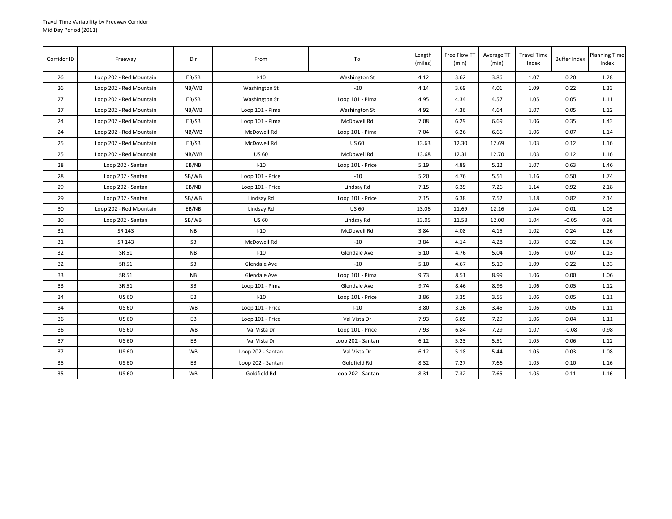| Corridor ID | Freeway                 | Dir       | From              | To                | Length<br>(miles) | Free Flow TT<br>(min) | Average TT<br>(min) | <b>Travel Time</b><br>Index | <b>Buffer Index</b> | <b>Planning Time</b><br>Index |
|-------------|-------------------------|-----------|-------------------|-------------------|-------------------|-----------------------|---------------------|-----------------------------|---------------------|-------------------------------|
| 26          | Loop 202 - Red Mountain | EB/SB     | $I-10$            | Washington St     | 4.12              | 3.62                  | 3.86                | 1.07                        | 0.20                | 1.28                          |
| 26          | Loop 202 - Red Mountain | NB/WB     | Washington St     | $I-10$            | 4.14              | 3.69                  | 4.01                | 1.09                        | 0.22                | 1.33                          |
| 27          | Loop 202 - Red Mountain | EB/SB     | Washington St     | Loop 101 - Pima   | 4.95              | 4.34                  | 4.57                | 1.05                        | 0.05                | 1.11                          |
| 27          | Loop 202 - Red Mountain | NB/WB     | Loop 101 - Pima   | Washington St     | 4.92              | 4.36                  | 4.64                | 1.07                        | 0.05                | 1.12                          |
| 24          | Loop 202 - Red Mountain | EB/SB     | Loop 101 - Pima   | McDowell Rd       | 7.08              | 6.29                  | 6.69                | 1.06                        | 0.35                | 1.43                          |
| 24          | Loop 202 - Red Mountain | NB/WB     | McDowell Rd       | Loop 101 - Pima   | 7.04              | 6.26                  | 6.66                | 1.06                        | 0.07                | 1.14                          |
| 25          | Loop 202 - Red Mountain | EB/SB     | McDowell Rd       | <b>US 60</b>      | 13.63             | 12.30                 | 12.69               | 1.03                        | 0.12                | 1.16                          |
| 25          | Loop 202 - Red Mountain | NB/WB     | <b>US 60</b>      | McDowell Rd       | 13.68             | 12.31                 | 12.70               | 1.03                        | 0.12                | 1.16                          |
| 28          | Loop 202 - Santan       | EB/NB     | $I-10$            | Loop 101 - Price  | 5.19              | 4.89                  | 5.22                | 1.07                        | 0.63                | 1.46                          |
| 28          | Loop 202 - Santan       | SB/WB     | Loop 101 - Price  | $1 - 10$          | 5.20              | 4.76                  | 5.51                | 1.16                        | 0.50                | 1.74                          |
| 29          | Loop 202 - Santan       | EB/NB     | Loop 101 - Price  | Lindsay Rd        | 7.15              | 6.39                  | 7.26                | 1.14                        | 0.92                | 2.18                          |
| 29          | Loop 202 - Santan       | SB/WB     | Lindsay Rd        | Loop 101 - Price  | 7.15              | 6.38                  | 7.52                | 1.18                        | 0.82                | 2.14                          |
| 30          | Loop 202 - Red Mountain | EB/NB     | Lindsay Rd        | <b>US 60</b>      | 13.06             | 11.69                 | 12.16               | 1.04                        | 0.01                | 1.05                          |
| 30          | Loop 202 - Santan       | SB/WB     | <b>US 60</b>      | Lindsay Rd        | 13.05             | 11.58                 | 12.00               | 1.04                        | $-0.05$             | 0.98                          |
| 31          | SR 143                  | NB        | $I-10$            | McDowell Rd       | 3.84              | 4.08                  | 4.15                | 1.02                        | 0.24                | 1.26                          |
| 31          | SR 143                  | SB        | McDowell Rd       | $I-10$            | 3.84              | 4.14                  | 4.28                | 1.03                        | 0.32                | 1.36                          |
| 32          | SR 51                   | <b>NB</b> | $I-10$            | Glendale Ave      | 5.10              | 4.76                  | 5.04                | 1.06                        | 0.07                | 1.13                          |
| 32          | SR 51                   | <b>SB</b> | Glendale Ave      | $I-10$            | 5.10              | 4.67                  | 5.10                | 1.09                        | 0.22                | 1.33                          |
| 33          | SR 51                   | <b>NB</b> | Glendale Ave      | Loop 101 - Pima   | 9.73              | 8.51                  | 8.99                | 1.06                        | 0.00                | 1.06                          |
| 33          | SR 51                   | SB        | Loop 101 - Pima   | Glendale Ave      | 9.74              | 8.46                  | 8.98                | 1.06                        | 0.05                | 1.12                          |
| 34          | <b>US 60</b>            | EB        | $I-10$            | Loop 101 - Price  | 3.86              | 3.35                  | 3.55                | 1.06                        | 0.05                | 1.11                          |
| 34          | <b>US 60</b>            | <b>WB</b> | Loop 101 - Price  | $I-10$            | 3.80              | 3.26                  | 3.45                | 1.06                        | 0.05                | 1.11                          |
| 36          | <b>US 60</b>            | EB        | Loop 101 - Price  | Val Vista Dr      | 7.93              | 6.85                  | 7.29                | 1.06                        | 0.04                | 1.11                          |
| 36          | <b>US 60</b>            | WB        | Val Vista Dr      | Loop 101 - Price  | 7.93              | 6.84                  | 7.29                | 1.07                        | $-0.08$             | 0.98                          |
| 37          | <b>US 60</b>            | EB        | Val Vista Dr      | Loop 202 - Santan | 6.12              | 5.23                  | 5.51                | 1.05                        | 0.06                | 1.12                          |
| 37          | <b>US 60</b>            | <b>WB</b> | Loop 202 - Santan | Val Vista Dr      | 6.12              | 5.18                  | 5.44                | 1.05                        | 0.03                | 1.08                          |
| 35          | <b>US 60</b>            | EB        | Loop 202 - Santan | Goldfield Rd      | 8.32              | 7.27                  | 7.66                | 1.05                        | 0.10                | 1.16                          |
| 35          | <b>US 60</b>            | WB        | Goldfield Rd      | Loop 202 - Santan | 8.31              | 7.32                  | 7.65                | 1.05                        | 0.11                | 1.16                          |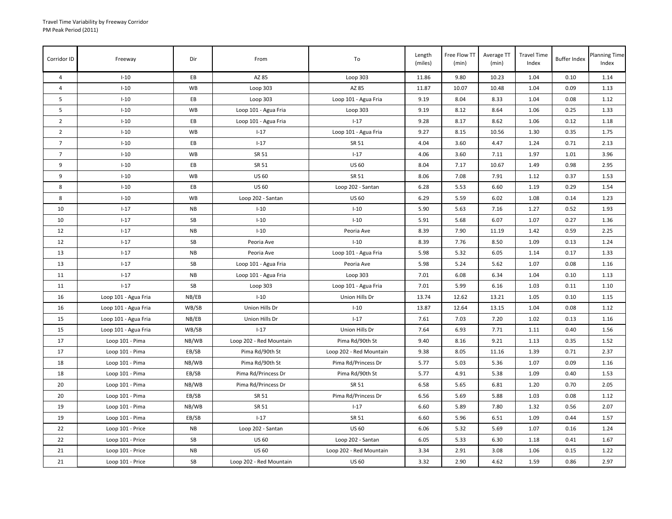| Corridor ID     | Freeway              | Dir       | From                    | To                      | Length<br>(miles) | Free Flow TT<br>(min) | Average TT<br>(min) | <b>Travel Time</b><br>Index | <b>Buffer Index</b> | <b>Planning Time</b><br>Index |
|-----------------|----------------------|-----------|-------------------------|-------------------------|-------------------|-----------------------|---------------------|-----------------------------|---------------------|-------------------------------|
| $\overline{4}$  | $I-10$               | EB        | AZ 85                   | Loop 303                | 11.86             | 9.80                  | 10.23               | 1.04                        | 0.10                | 1.14                          |
| $\overline{4}$  | $I-10$               | WB        | Loop 303                | AZ 85                   | 11.87             | 10.07                 | 10.48               | 1.04                        | 0.09                | 1.13                          |
| 5               | $I-10$               | EB        | Loop 303                | Loop 101 - Agua Fria    | 9.19              | 8.04                  | 8.33                | 1.04                        | 0.08                | 1.12                          |
| 5               | $I-10$               | <b>WB</b> | Loop 101 - Agua Fria    | Loop 303                | 9.19              | 8.12                  | 8.64                | 1.06                        | 0.25                | 1.33                          |
| $\overline{2}$  | $I-10$               | EВ        | Loop 101 - Agua Fria    | $I - 17$                | 9.28              | 8.17                  | 8.62                | 1.06                        | 0.12                | 1.18                          |
| $\overline{2}$  | $I-10$               | WB        | $I-17$                  | Loop 101 - Agua Fria    | 9.27              | 8.15                  | 10.56               | 1.30                        | 0.35                | 1.75                          |
| $7\overline{ }$ | $I-10$               | EB        | $I - 17$                | SR 51                   | 4.04              | 3.60                  | 4.47                | 1.24                        | 0.71                | 2.13                          |
| $\overline{7}$  | $I-10$               | <b>WB</b> | SR 51                   | $I - 17$                | 4.06              | 3.60                  | 7.11                | 1.97                        | 1.01                | 3.96                          |
| 9               | $I-10$               | EB        | SR 51                   | <b>US 60</b>            | 8.04              | 7.17                  | 10.67               | 1.49                        | 0.98                | 2.95                          |
| 9               | $I-10$               | <b>WB</b> | <b>US 60</b>            | SR 51                   | 8.06              | 7.08                  | 7.91                | 1.12                        | 0.37                | 1.53                          |
| 8               | $I-10$               | EB        | <b>US 60</b>            | Loop 202 - Santan       | 6.28              | 5.53                  | 6.60                | 1.19                        | 0.29                | 1.54                          |
| 8               | $I-10$               | <b>WB</b> | Loop 202 - Santan       | <b>US 60</b>            | 6.29              | 5.59                  | 6.02                | 1.08                        | 0.14                | 1.23                          |
| 10              | $I-17$               | <b>NB</b> | $I-10$                  | $I-10$                  | 5.90              | 5.63                  | 7.16                | 1.27                        | 0.52                | 1.93                          |
| 10              | $1 - 17$             | SB        | $I-10$                  | $I-10$                  | 5.91              | 5.68                  | 6.07                | 1.07                        | 0.27                | 1.36                          |
| 12              | $1 - 17$             | NB        | $I-10$                  | Peoria Ave              | 8.39              | 7.90                  | 11.19               | 1.42                        | 0.59                | 2.25                          |
| 12              | $I-17$               | SB        | Peoria Ave              | $I-10$                  | 8.39              | 7.76                  | 8.50                | 1.09                        | 0.13                | 1.24                          |
| 13              | $I-17$               | <b>NB</b> | Peoria Ave              | Loop 101 - Agua Fria    | 5.98              | 5.32                  | 6.05                | 1.14                        | 0.17                | 1.33                          |
| 13              | $1 - 17$             | SB        | Loop 101 - Agua Fria    | Peoria Ave              | 5.98              | 5.24                  | 5.62                | 1.07                        | 0.08                | 1.16                          |
| 11              | $I-17$               | <b>NB</b> | Loop 101 - Agua Fria    | Loop 303                | 7.01              | 6.08                  | 6.34                | 1.04                        | 0.10                | 1.13                          |
| 11              | $1 - 17$             | SB        | Loop 303                | Loop 101 - Agua Fria    | 7.01              | 5.99                  | 6.16                | 1.03                        | 0.11                | 1.10                          |
| 16              | Loop 101 - Agua Fria | NB/EB     | $I-10$                  | Union Hills Dr          | 13.74             | 12.62                 | 13.21               | 1.05                        | 0.10                | 1.15                          |
| 16              | Loop 101 - Agua Fria | WB/SB     | Union Hills Dr          | $I-10$                  | 13.87             | 12.64                 | 13.15               | 1.04                        | 0.08                | 1.12                          |
| 15              | Loop 101 - Agua Fria | NB/EB     | Union Hills Dr          | $1 - 17$                | 7.61              | 7.03                  | 7.20                | 1.02                        | 0.13                | 1.16                          |
| 15              | Loop 101 - Agua Fria | WB/SB     | $I-17$                  | Union Hills Dr          | 7.64              | 6.93                  | 7.71                | 1.11                        | 0.40                | 1.56                          |
| 17              | Loop 101 - Pima      | NB/WB     | Loop 202 - Red Mountain | Pima Rd/90th St         | 9.40              | 8.16                  | 9.21                | 1.13                        | 0.35                | 1.52                          |
| 17              | Loop 101 - Pima      | EB/SB     | Pima Rd/90th St         | Loop 202 - Red Mountain | 9.38              | 8.05                  | 11.16               | 1.39                        | 0.71                | 2.37                          |
| 18              | Loop 101 - Pima      | NB/WB     | Pima Rd/90th St         | Pima Rd/Princess Dr     | 5.77              | 5.03                  | 5.36                | 1.07                        | 0.09                | 1.16                          |
| 18              | Loop 101 - Pima      | EB/SB     | Pima Rd/Princess Dr     | Pima Rd/90th St         | 5.77              | 4.91                  | 5.38                | 1.09                        | 0.40                | 1.53                          |
| 20              | Loop 101 - Pima      | NB/WB     | Pima Rd/Princess Dr     | SR 51                   | 6.58              | 5.65                  | 6.81                | 1.20                        | 0.70                | 2.05                          |
| 20              | Loop 101 - Pima      | EB/SB     | SR 51                   | Pima Rd/Princess Dr     | 6.56              | 5.69                  | 5.88                | 1.03                        | 0.08                | 1.12                          |
| 19              | Loop 101 - Pima      | NB/WB     | SR 51                   | $1 - 17$                | 6.60              | 5.89                  | 7.80                | 1.32                        | 0.56                | 2.07                          |
| 19              | Loop 101 - Pima      | EB/SB     | $1 - 17$                | SR 51                   | 6.60              | 5.96                  | 6.51                | 1.09                        | 0.44                | 1.57                          |
| 22              | Loop 101 - Price     | NB        | Loop 202 - Santan       | <b>US 60</b>            | 6.06              | 5.32                  | 5.69                | 1.07                        | 0.16                | 1.24                          |
| 22              | Loop 101 - Price     | SB        | <b>US 60</b>            | Loop 202 - Santan       | 6.05              | 5.33                  | 6.30                | 1.18                        | 0.41                | 1.67                          |
| 21              | Loop 101 - Price     | <b>NB</b> | <b>US 60</b>            | Loop 202 - Red Mountain | 3.34              | 2.91                  | 3.08                | 1.06                        | 0.15                | 1.22                          |
| 21              | Loop 101 - Price     | SB        | Loop 202 - Red Mountain | <b>US 60</b>            | 3.32              | 2.90                  | 4.62                | 1.59                        | 0.86                | 2.97                          |